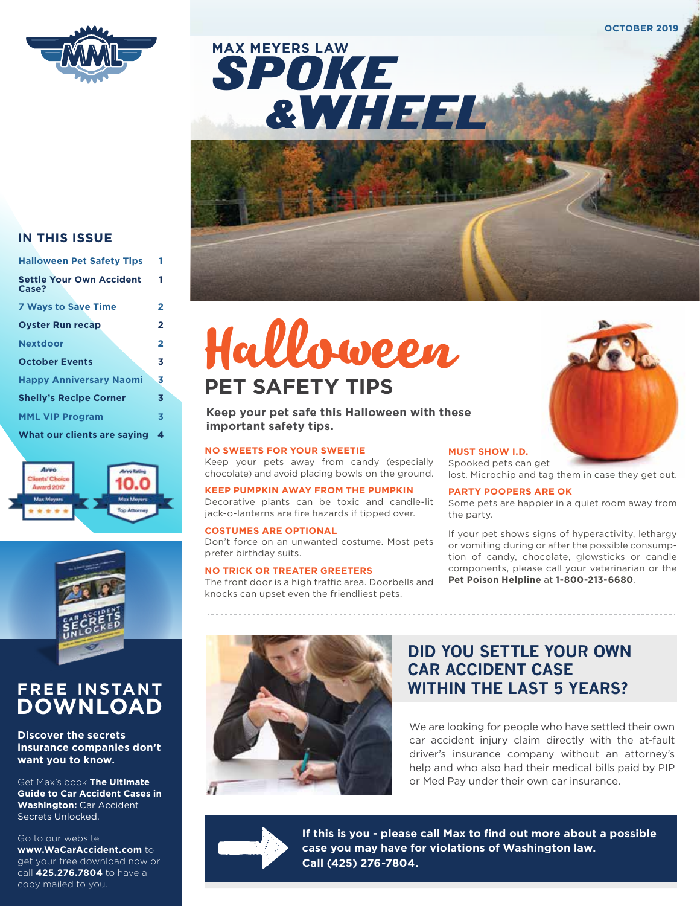





#### **IN THIS ISSUE**

| <b>Halloween Pet Safety Tips</b>         | 1              |
|------------------------------------------|----------------|
| <b>Settle Your Own Accident</b><br>Case? | 1              |
| <b>7 Ways to Save Time</b>               | 2              |
| <b>Oyster Run recap</b>                  | 2              |
| <b>Nextdoor</b>                          | $\overline{2}$ |
| <b>October Events</b>                    | 3              |
| <b>Happy Anniversary Naomi</b>           | 3              |
| <b>Shelly's Recipe Corner</b>            | 3              |
| <b>MML VIP Program</b>                   | 3              |
| What our clients are saying              | 4              |





## **FREE INSTANT DOWNLOAD**

#### **Discover the secrets insurance companies don't want you to know.**

Get Max's book **The Ultimate Guide to Car Accident Cases in Washington:** Car Accident Secrets Unlocked.

#### Go to our website

**www.WaCarAccident.com** to get your free download now or call **425.276.7804** to have a copy mailed to you.



#### **Keep your pet safe this Halloween with these important safety tips.**

#### **NO SWEETS FOR YOUR SWEETIE**

Keep your pets away from candy (especially chocolate) and avoid placing bowls on the ground.

**KEEP PUMPKIN AWAY FROM THE PUMPKIN** Decorative plants can be toxic and candle-lit jack-o-lanterns are fire hazards if tipped over.

#### **COSTUMES ARE OPTIONAL** Don't force on an unwanted costume. Most pets

prefer birthday suits. **NO TRICK OR TREATER GREETERS**

#### The front door is a high traffic area. Doorbells and knocks can upset even the friendliest pets.



#### **MUST SHOW I.D.**

Spooked pets can get lost. Microchip and tag them in case they get out.

#### **PARTY POOPERS ARE OK**

Some pets are happier in a quiet room away from the party.

If your pet shows signs of hyperactivity, lethargy or vomiting during or after the possible consumption of candy, chocolate, glowsticks or candle components, please call your veterinarian or the **Pet Poison Helpline** at **1-800-213-6680**.



### **DID YOU SETTLE YOUR OWN CAR ACCIDENT CASE WITHIN THE LAST 5 YEARS?**

We are looking for people who have settled their own car accident injury claim directly with the at-fault driver's insurance company without an attorney's help and who also had their medical bills paid by PIP or Med Pay under their own car insurance.



**If this is you - please call Max to find out more about a possible case you may have for violations of Washington law. Call (425) 276-7804.**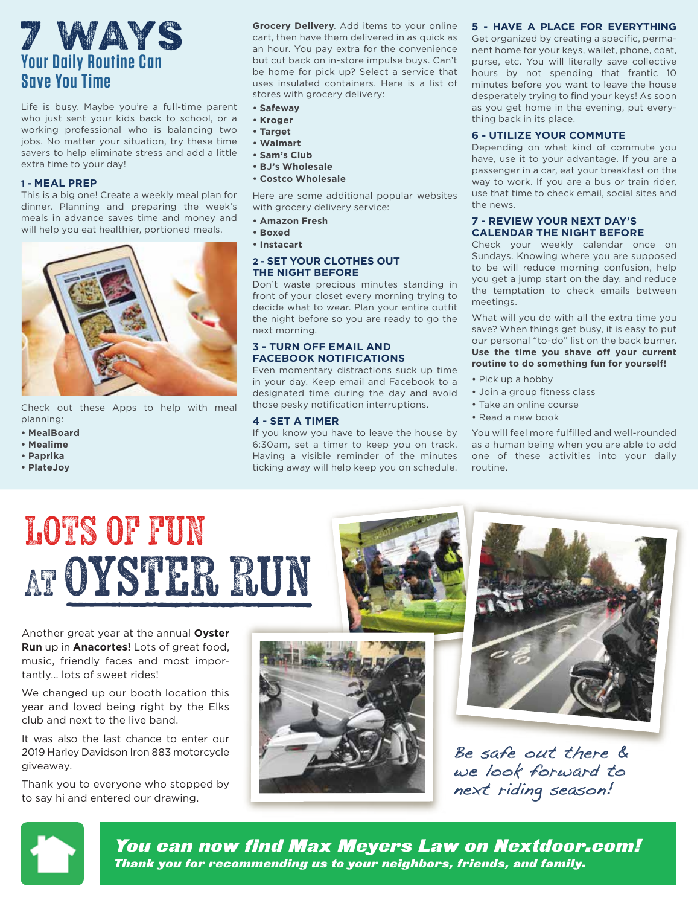# **Your Daily Routine Can Save You Time**  7 ways

Life is busy. Maybe you're a full-time parent who just sent your kids back to school, or a working professional who is balancing two jobs. No matter your situation, try these time savers to help eliminate stress and add a little extra time to your day!

#### **1 - MEAL PREP**

This is a big one! Create a weekly meal plan for dinner. Planning and preparing the week's meals in advance saves time and money and will help you eat healthier, portioned meals.



Check out these Apps to help with meal planning:

- **MealBoard**
- **Mealime**
- **Paprika**
- **PlateJoy**

**Grocery Delivery**. Add items to your online cart, then have them delivered in as quick as an hour. You pay extra for the convenience but cut back on in-store impulse buys. Can't be home for pick up? Select a service that uses insulated containers. Here is a list of stores with grocery delivery:

- **Safeway**
- **Kroger**
- **Target**
- **Walmart**
- **Sam's Club**
- **BJ's Wholesale**
- **Costco Wholesale**

Here are some additional popular websites with grocery delivery service:

- **Amazon Fresh**
- **Boxed**
- **Instacart**

#### **2 - SET YOUR CLOTHES OUT THE NIGHT BEFORE**

Don't waste precious minutes standing in front of your closet every morning trying to decide what to wear. Plan your entire outfit the night before so you are ready to go the next morning.

#### **3 - TURN OFF EMAIL AND FACEBOOK NOTIFICATIONS**

Even momentary distractions suck up time in your day. Keep email and Facebook to a designated time during the day and avoid those pesky notification interruptions.

#### **4 - SET A TIMER**

If you know you have to leave the house by 6:30am, set a timer to keep you on track. Having a visible reminder of the minutes ticking away will help keep you on schedule.

#### **5 - HAVE A PLACE FOR EVERYTHING**

Get organized by creating a specific, permanent home for your keys, wallet, phone, coat, purse, etc. You will literally save collective hours by not spending that frantic 10 minutes before you want to leave the house desperately trying to find your keys! As soon as you get home in the evening, put everything back in its place.

#### **6 - UTILIZE YOUR COMMUTE**

Depending on what kind of commute you have, use it to your advantage. If you are a passenger in a car, eat your breakfast on the way to work. If you are a bus or train rider, use that time to check email, social sites and the news.

#### **7 - REVIEW YOUR NEXT DAY'S CALENDAR THE NIGHT BEFORE**

Check your weekly calendar once on Sundays. Knowing where you are supposed to be will reduce morning confusion, help you get a jump start on the day, and reduce the temptation to check emails between meetings.

What will you do with all the extra time you save? When things get busy, it is easy to put our personal "to-do" list on the back burner. Use the time you shave off your current **routine to do something fun for yourself!**

- Pick up a hobby
- Join a group fitness class
- Take an online course
- Read a new book

You will feel more fulfilled and well-rounded as a human being when you are able to add one of these activities into your daily routine.

# LOTS OF FUN AT Oyster Run

Another great year at the annual **Oyster Run** up in **Anacortes!** Lots of great food, music, friendly faces and most importantly… lots of sweet rides!

We changed up our booth location this year and loved being right by the Elks club and next to the live band.

It was also the last chance to enter our 2019 Harley Davidson Iron 883 motorcycle giveaway.

Thank you to everyone who stopped by to say hi and entered our drawing.





Be safe out there & we look forward to next riding season!



You can now find Max Meyers Law on Nextdoor.com! Thank you for recommending us to your neighbors, friends, and family.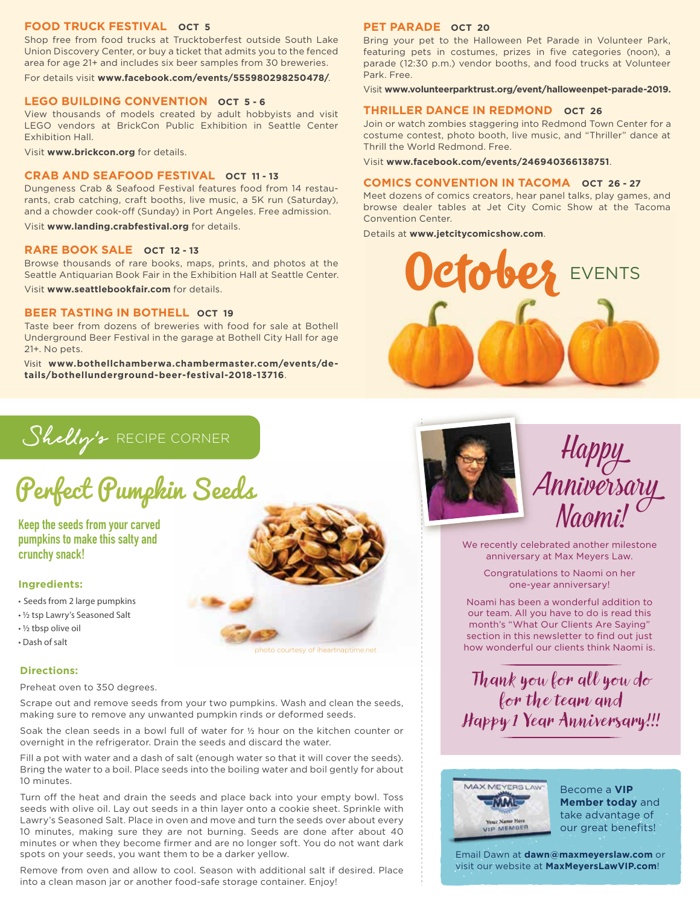#### **FOOD TRUCK FESTIVAL OCT 5**

Shop free from food trucks at Trucktoberfest outside South Lake Union Discovery Center, or buy a ticket that admits you to the fenced area for age 21+ and includes six beer samples from 30 breweries.

For details visit **www.facebook.com/events/555980298250478/**.

#### **LEGO BUILDING CONVENTION OCT 5 - 6**

View thousands of models created by adult hobbyists and visit LEGO vendors at BrickCon Public Exhibition in Seattle Center Exhibition Hall.

Visit **www.brickcon.org** for details.

#### **CRAB AND SEAFOOD FESTIVAL OCT 11 - 13**

Dungeness Crab & Seafood Festival features food from 14 restaurants, crab catching, craft booths, live music, a 5K run (Saturday), and a chowder cook-off (Sunday) in Port Angeles. Free admission.

Visit **www.landing.crabfestival.org** for details.

#### **RARE BOOK SALE OCT 12 - 13**

Browse thousands of rare books, maps, prints, and photos at the Seattle Antiquarian Book Fair in the Exhibition Hall at Seattle Center. Visit **www.seattlebookfair.com** for details.

#### **BEER TASTING IN BOTHELL OCT 19**

Taste beer from dozens of breweries with food for sale at Bothell Underground Beer Festival in the garage at Bothell City Hall for age 21+. No pets.

Visit **www.bothellchamberwa.chambermaster.com/events/details/bothellunderground-beer-festival-2018-13716**.

#### **PET PARADE OCT 20**

Bring your pet to the Halloween Pet Parade in Volunteer Park, featuring pets in costumes, prizes in five categories (noon), a parade (12:30 p.m.) vendor booths, and food trucks at Volunteer Park. Free.

Visit **www.volunteerparktrust.org/event/halloweenpet-parade-2019.**

#### **THRILLER DANCE IN REDMOND OCT 26**

Join or watch zombies staggering into Redmond Town Center for a costume contest, photo booth, live music, and "Thriller" dance at Thrill the World Redmond. Free.

Visit **www.facebook.com/events/246940366138751**.

#### **COMICS CONVENTION IN TACOMA OCT 26 - 27**

Meet dozens of comics creators, hear panel talks, play games, and browse dealer tables at Jet City Comic Show at the Tacoma Convention Center.

Details at **www.jetcitycomicshow.com**.

October EVENTS

Shelly's RECIPE CORNER

Perfect Pumpkin Seeds

**Keep the seeds from your carved pumpkins to make this salty and crunchy snack!**

#### **Ingredients:**

- Seeds from 2 large pumpkins
- ½ tsp Lawry's Seasoned Salt
- ½ tbsp olive oil
- Dash of salt

#### **Directions:**

Preheat oven to 350 degrees.

Scrape out and remove seeds from your two pumpkins. Wash and clean the seeds, making sure to remove any unwanted pumpkin rinds or deformed seeds.

Soak the clean seeds in a bowl full of water for ½ hour on the kitchen counter or overnight in the refrigerator. Drain the seeds and discard the water.

Fill a pot with water and a dash of salt (enough water so that it will cover the seeds). Bring the water to a boil. Place seeds into the boiling water and boil gently for about 10 minutes.

Turn off the heat and drain the seeds and place back into your empty bowl. Toss seeds with olive oil. Lay out seeds in a thin layer onto a cookie sheet. Sprinkle with Lawry's Seasoned Salt. Place in oven and move and turn the seeds over about every 10 minutes, making sure they are not burning. Seeds are done after about 40 minutes or when they become firmer and are no longer soft. You do not want dark spots on your seeds, you want them to be a darker yellow.

Remove from oven and allow to cool. Season with additional salt if desired. Place into a clean mason jar or another food-safe storage container. Enjoy!





We recently celebrated another milestone anniversary at Max Meyers Law.

> Congratulations to Naomi on her one-year anniversary!

Noami has been a wonderful addition to our team. All you have to do is read this month's "What Our Clients Are Saying" section in this newsletter to find out just photo courtesy of iheartnaptime.net how wonderful our clients think Naomi is.

> Thank you for all you do for the team and Happy 1 Year Anniversary!!!



Become a **VIP Member today** and take advantage of our great benefits!

Email Dawn at **dawn@maxmeyerslaw.com** or visit our website at **MaxMeyersLawVIP.com**!